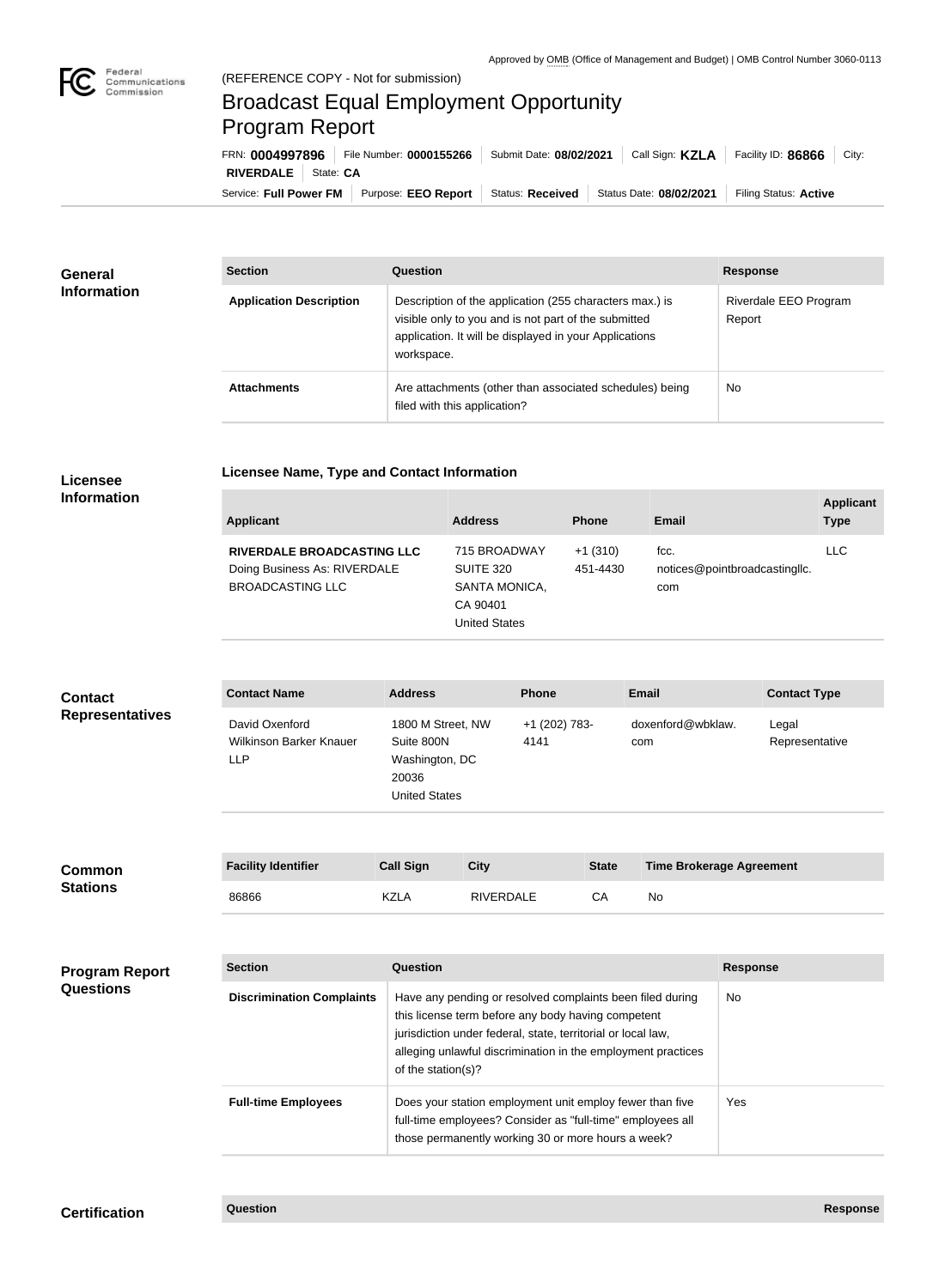## Broadcast Equal Employment Opportunity Program Report

**Licensee Name, Type and Contact Information**

Service: Full Power FM Purpose: EEO Report | Status: Received | Status Date: 08/02/2021 | Filing Status: Active **RIVERDALE** State: **CA** FRN: **0004997896** File Number: **0000155266** Submit Date: **08/02/2021** Call Sign: **KZLA** Facility ID: **86866** City:

| General<br><b>Information</b> | <b>Section</b>                 | Question                                                                                                                                                                                | <b>Response</b>                 |
|-------------------------------|--------------------------------|-----------------------------------------------------------------------------------------------------------------------------------------------------------------------------------------|---------------------------------|
|                               | <b>Application Description</b> | Description of the application (255 characters max.) is<br>visible only to you and is not part of the submitted<br>application. It will be displayed in your Applications<br>workspace. | Riverdale EEO Program<br>Report |
|                               | <b>Attachments</b>             | Are attachments (other than associated schedules) being<br>filed with this application?                                                                                                 | No.                             |

## **Licensee Information**

| <b>Applicant</b>                                                                             | <b>Address</b>                                                                 | <b>Phone</b>          | <b>Email</b>                                 | <b>Applicant</b><br><b>Type</b> |
|----------------------------------------------------------------------------------------------|--------------------------------------------------------------------------------|-----------------------|----------------------------------------------|---------------------------------|
| <b>RIVERDALE BROADCASTING LLC</b><br>Doing Business As: RIVERDALE<br><b>BROADCASTING LLC</b> | 715 BROADWAY<br>SUITE 320<br>SANTA MONICA,<br>CA 90401<br><b>United States</b> | $+1(310)$<br>451-4430 | fcc.<br>notices@pointbroadcastingllc.<br>com | <b>LLC</b>                      |

| <b>Contact</b>         | <b>Contact Name</b>                                     | <b>Address</b>                                                                     | <b>Phone</b>          | <b>Email</b>             | <b>Contact Type</b>     |
|------------------------|---------------------------------------------------------|------------------------------------------------------------------------------------|-----------------------|--------------------------|-------------------------|
| <b>Representatives</b> | David Oxenford<br>Wilkinson Barker Knauer<br><b>LLP</b> | 1800 M Street, NW<br>Suite 800N<br>Washington, DC<br>20036<br><b>United States</b> | +1 (202) 783-<br>4141 | doxenford@wbklaw.<br>com | Legal<br>Representative |

| <b>Common</b><br><b>Stations</b> | <b>Facility Identifier</b> | <b>Call Sign</b> | City             | <b>State</b> | <b>Time Brokerage Agreement</b> |
|----------------------------------|----------------------------|------------------|------------------|--------------|---------------------------------|
|                                  | 86866                      | KZLA             | <b>RIVERDALE</b> |              | No                              |

| <b>Program Report</b><br><b>Questions</b> | <b>Section</b>                   | Question                                                                                                                                                                                                                                                              | <b>Response</b> |
|-------------------------------------------|----------------------------------|-----------------------------------------------------------------------------------------------------------------------------------------------------------------------------------------------------------------------------------------------------------------------|-----------------|
|                                           | <b>Discrimination Complaints</b> | Have any pending or resolved complaints been filed during<br>this license term before any body having competent<br>jurisdiction under federal, state, territorial or local law,<br>alleging unlawful discrimination in the employment practices<br>of the station(s)? | No              |
|                                           | <b>Full-time Employees</b>       | Does your station employment unit employ fewer than five<br>full-time employees? Consider as "full-time" employees all<br>those permanently working 30 or more hours a week?                                                                                          | Yes.            |